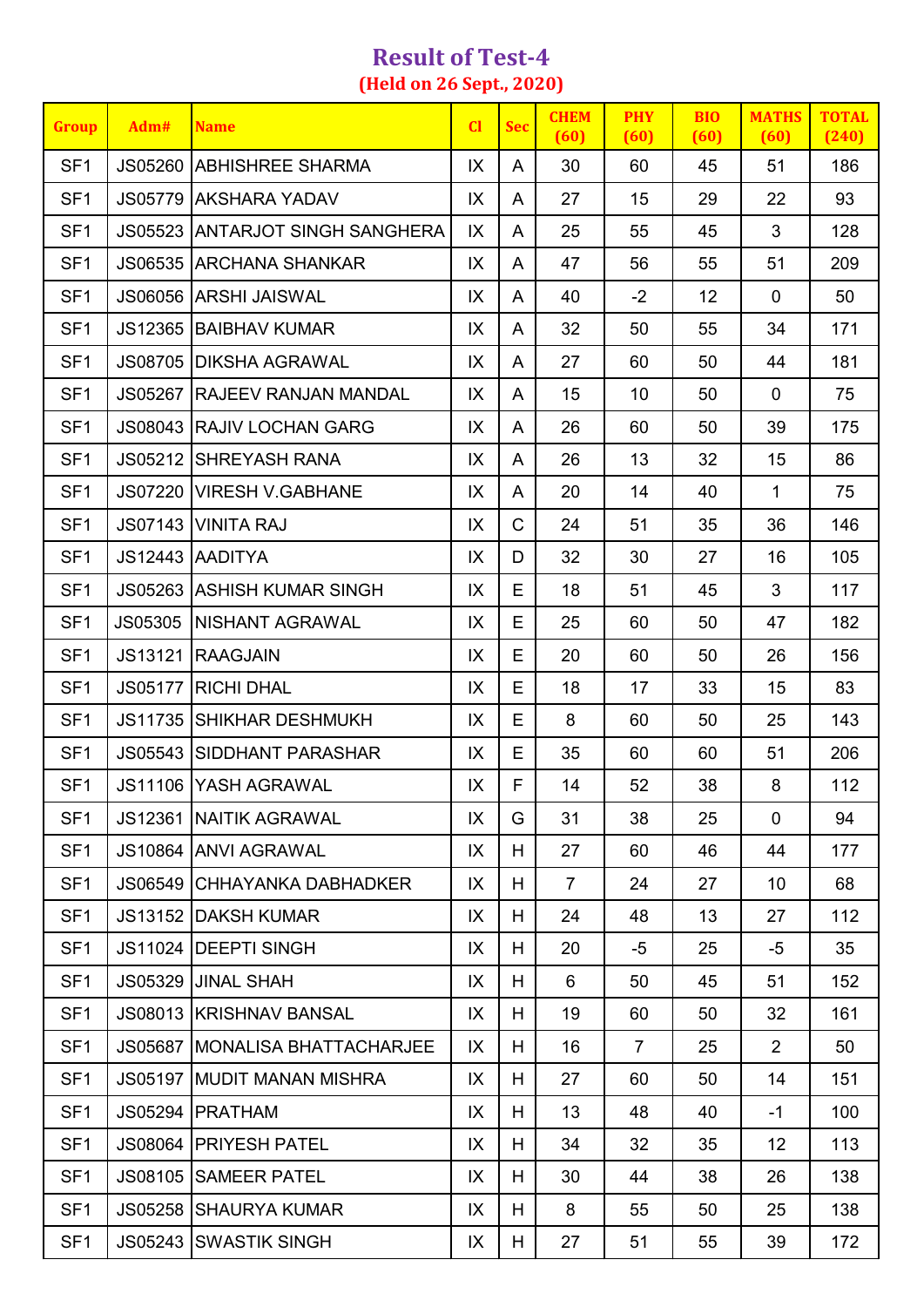## **Result of Test-4 (Held on 26 Sept., 2020)**

| <b>Group</b>    | Adm#    | <b>Name</b>                            | $CI$ | <b>Sec</b>   | <b>CHEM</b><br>(60) | <b>PHY</b><br>(60) | <b>BIO</b><br>(60) | <b>MATHS</b><br>(60) | <b>TOTAL</b><br>(240) |
|-----------------|---------|----------------------------------------|------|--------------|---------------------|--------------------|--------------------|----------------------|-----------------------|
| SF <sub>1</sub> |         | <b>JS05260 ABHISHREE SHARMA</b>        | IX   | A            | 30                  | 60                 | 45                 | 51                   | 186                   |
| SF <sub>1</sub> |         | JS05779 AKSHARA YADAV                  | IX   | A            | 27                  | 15                 | 29                 | 22                   | 93                    |
| SF <sub>1</sub> |         | <b>JS05523 ANTARJOT SINGH SANGHERA</b> | IX   | A            | 25                  | 55                 | 45                 | 3                    | 128                   |
| SF <sub>1</sub> |         | <b>JS06535 ARCHANA SHANKAR</b>         | IX   | A            | 47                  | 56                 | 55                 | 51                   | 209                   |
| SF <sub>1</sub> |         | <b>JS06056 ARSHI JAISWAL</b>           | IX   | A            | 40                  | $-2$               | 12                 | $\mathbf 0$          | 50                    |
| SF <sub>1</sub> |         | JS12365   BAIBHAV KUMAR                | IX   | A            | 32                  | 50                 | 55                 | 34                   | 171                   |
| SF <sub>1</sub> |         | <b>JS08705 DIKSHA AGRAWAL</b>          | IX   | A            | 27                  | 60                 | 50                 | 44                   | 181                   |
| SF <sub>1</sub> |         | <b>JS05267  RAJEEV RANJAN MANDAL</b>   | IX   | A            | 15                  | 10                 | 50                 | $\mathbf 0$          | 75                    |
| SF <sub>1</sub> |         | <b>JS08043 RAJIV LOCHAN GARG</b>       | IX   | A            | 26                  | 60                 | 50                 | 39                   | 175                   |
| SF <sub>1</sub> | JS05212 | <b>ISHREYASH RANA</b>                  | IX   | A            | 26                  | 13                 | 32                 | 15                   | 86                    |
| SF <sub>1</sub> |         | JS07220   VIRESH V.GABHANE             | IX   | A            | 20                  | 14                 | 40                 | 1                    | 75                    |
| SF <sub>1</sub> |         | JS07143   VINITA RAJ                   | IX   | $\mathsf{C}$ | 24                  | 51                 | 35                 | 36                   | 146                   |
| SF <sub>1</sub> |         | JS12443 AADITYA                        | IX   | D            | 32                  | 30                 | 27                 | 16                   | 105                   |
| SF <sub>1</sub> |         | <b>JS05263 ASHISH KUMAR SINGH</b>      | IX   | Е            | 18                  | 51                 | 45                 | 3                    | 117                   |
| SF <sub>1</sub> | JS05305 | NISHANT AGRAWAL                        | IX   | E            | 25                  | 60                 | 50                 | 47                   | 182                   |
| SF <sub>1</sub> |         | JS13121 RAAGJAIN                       | IX   | E            | 20                  | 60                 | 50                 | 26                   | 156                   |
| SF <sub>1</sub> |         | <b>JS05177 RICHI DHAL</b>              | IX   | Е            | 18                  | 17                 | 33                 | 15                   | 83                    |
| SF <sub>1</sub> |         | JS11735 SHIKHAR DESHMUKH               | IX   | Е            | 8                   | 60                 | 50                 | 25                   | 143                   |
| SF <sub>1</sub> |         | <b>JS05543 SIDDHANT PARASHAR</b>       | IX   | E            | 35                  | 60                 | 60                 | 51                   | 206                   |
| SF <sub>1</sub> |         | JS11106 YASH AGRAWAL                   | IX   | F            | 14                  | 52                 | 38                 | 8                    | 112                   |
| SF <sub>1</sub> |         | <b>JS12361 INAITIK AGRAWAL</b>         | IX   | G            | 31                  | 38                 | 25                 | $\mathbf 0$          | 94                    |
| SF <sub>1</sub> |         | JS10864 ANVI AGRAWAL                   | IX   | H            | 27                  | 60                 | 46                 | 44                   | 177                   |
| SF <sub>1</sub> | JS06549 | CHHAYANKA DABHADKER                    | IX   | H            | $\overline{7}$      | 24                 | 27                 | 10                   | 68                    |
| SF <sub>1</sub> | JS13152 | IDAKSH KUMAR                           | IX   | H            | 24                  | 48                 | 13                 | 27                   | 112                   |
| SF <sub>1</sub> |         | JS11024 IDEEPTI SINGH                  | IX   | H.           | 20                  | -5                 | 25                 | $-5$                 | 35                    |
| SF <sub>1</sub> |         | JS05329 JJINAL SHAH                    | IX   | H            | 6                   | 50                 | 45                 | 51                   | 152                   |
| SF <sub>1</sub> |         | <b>JS08013 KRISHNAV BANSAL</b>         | IX   | H            | 19                  | 60                 | 50                 | 32                   | 161                   |
| SF <sub>1</sub> |         | JS05687 MONALISA BHATTACHARJEE         | IX   | H            | 16                  | $\overline{7}$     | 25                 | $\overline{2}$       | 50                    |
| SF <sub>1</sub> |         | <b>JS05197 MUDIT MANAN MISHRA</b>      | IX   | H            | 27                  | 60                 | 50                 | 14                   | 151                   |
| SF <sub>1</sub> |         | JS05294   PRATHAM                      | IX   | H            | 13                  | 48                 | 40                 | $-1$                 | 100                   |
| SF <sub>1</sub> |         | <b>JS08064   PRIYESH PATEL</b>         | IX   | H            | 34                  | 32                 | 35                 | 12                   | 113                   |
| SF <sub>1</sub> | JS08105 | <b>SAMEER PATEL</b>                    | IX   | H            | 30                  | 44                 | 38                 | 26                   | 138                   |
| SF <sub>1</sub> |         | <b>JS05258 SHAURYA KUMAR</b>           | IX   | H            | 8                   | 55                 | 50                 | 25                   | 138                   |
| SF <sub>1</sub> |         | JS05243 SWASTIK SINGH                  | IX   | H.           | 27                  | 51                 | 55                 | 39                   | 172                   |